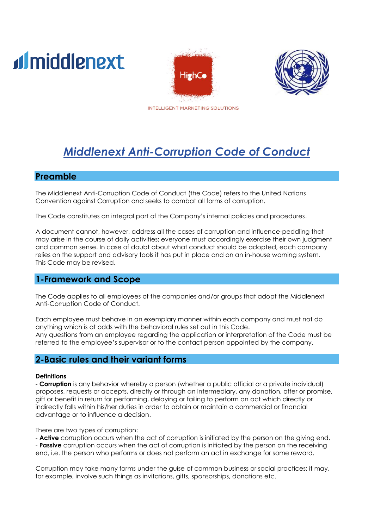# d middlenext





INTELLIGENT MARKETING SOLUTIONS

## *Middlenext Anti-Corruption Code of Conduct*

#### **Preamble**

The Middlenext Anti-Corruption Code of Conduct (the Code) refers to the United Nations Convention against Corruption and seeks to combat all forms of corruption.

The Code constitutes an integral part of the Company's internal policies and procedures.

A document cannot, however, address all the cases of corruption and influence-peddling that may arise in the course of daily activities; everyone must accordingly exercise their own judgment and common sense. In case of doubt about what conduct should be adopted, each company relies on the support and advisory tools it has put in place and on an in-house warning system. This Code may be revised.

#### **1-Framework and Scope**

The Code applies to all employees of the companies and/or groups that adopt the Middlenext Anti-Corruption Code of Conduct.

Each employee must behave in an exemplary manner within each company and must not do anything which is at odds with the behavioral rules set out in this Code. Any questions from an employee regarding the application or interpretation of the Code must be referred to the employee's supervisor or to the contact person appointed by the company.

#### **2-Basic rules and their variant forms**

#### **Definitions**

- **Corruption** is any behavior whereby a person (whether a public official or a private individual) proposes, requests or accepts, directly or through an intermediary, any donation, offer or promise, gift or benefit in return for performing, delaying or failing to perform an act which directly or indirectly falls within his/her duties in order to obtain or maintain a commercial or financial advantage or to influence a decision.

There are two types of corruption:

- **Active** corruption occurs when the act of corruption is initiated by the person on the giving end. - **Passive** corruption occurs when the act of corruption is initiated by the person on the receiving end, i.e. the person who performs or does not perform an act in exchange for some reward.

Corruption may take many forms under the guise of common business or social practices; it may, for example, involve such things as invitations, gifts, sponsorships, donations etc.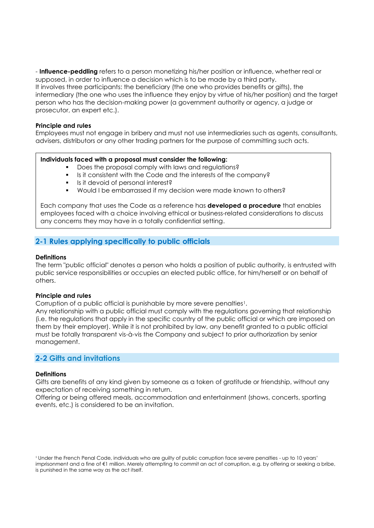- **Influence-peddling** refers to a person monetizing his/her position or influence, whether real or supposed, in order to influence a decision which is to be made by a third party. It involves three participants: the beneficiary (the one who provides benefits or gifts), the intermediary (the one who uses the influence they enjoy by virtue of his/her position) and the target person who has the decision-making power (a government authority or agency, a judge or prosecutor, an expert etc.).

#### **Principle and rules**

Employees must not engage in bribery and must not use intermediaries such as agents, consultants, advisers, distributors or any other trading partners for the purpose of committing such acts.

#### **Individuals faced with a proposal must consider the following:**

- Does the proposal comply with laws and requlations?
- Is it consistent with the Code and the interests of the company?
- Is it devoid of personal interest?
- Would I be embarrassed if my decision were made known to others?

Each company that uses the Code as a reference has **developed a procedure** that enables employees faced with a choice involving ethical or business-related considerations to discuss any concerns they may have in a totally confidential setting.

#### **2-1 Rules applying specifically to public officials**

#### **Definitions**

The term "public official" denotes a person who holds a position of public authority, is entrusted with public service responsibilities or occupies an elected public office, for him/herself or on behalf of others.

#### **Principle and rules**

Corruption of a public official is punishable by more severe penalties<sup>1</sup>.

Any relationship with a public official must comply with the regulations governing that relationship (i.e. the regulations that apply in the specific country of the public official or which are imposed on them by their employer). While it is not prohibited by law, any benefit granted to a public official must be totally transparent vis-à-vis the Company and subject to prior authorization by senior management.

#### **2-2 Gifts and invitations**

#### **Definitions**

Gifts are benefits of any kind given by someone as a token of gratitude or friendship, without any expectation of receiving something in return.

Offering or being offered meals, accommodation and entertainment (shows, concerts, sporting events, etc.) is considered to be an invitation.

<sup>1</sup> Under the French Penal Code, individuals who are guilty of public corruption face severe penalties - up to 10 years' imprisonment and a fine of €1 million. Merely attempting to commit an act of corruption, e.g. by offering or seeking a bribe, is punished in the same way as the act itself.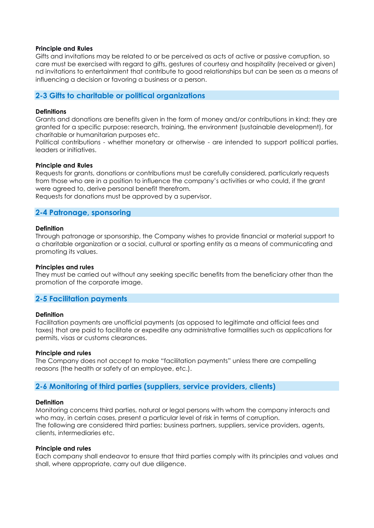#### **Principle and Rules**

Gifts and invitations may be related to or be perceived as acts of active or passive corruption, so care must be exercised with regard to gifts, gestures of courtesy and hospitality (received or given) nd invitations to entertainment that contribute to good relationships but can be seen as a means of influencing a decision or favoring a business or a person.

#### **2-3 Gifts to charitable or political organizations**

#### **Definitions**

Grants and donations are benefits given in the form of money and/or contributions in kind; they are granted for a specific purpose: research, training, the environment (sustainable development), for charitable or humanitarian purposes etc.

Political contributions - whether monetary or otherwise - are intended to support political parties, leaders or initiatives.

#### **Principle and Rules**

Requests for grants, donations or contributions must be carefully considered, particularly requests from those who are in a position to influence the company's activities or who could, if the grant were agreed to, derive personal benefit therefrom.

Requests for donations must be approved by a supervisor.

#### **2-4 Patronage, sponsoring**

#### **Definition**

Through patronage or sponsorship, the Company wishes to provide financial or material support to a charitable organization or a social, cultural or sporting entity as a means of communicating and promoting its values.

#### **Principles and rules**

They must be carried out without any seeking specific benefits from the beneficiary other than the promotion of the corporate image.

#### **2-5 Facilitation payments**

#### **Definition**

Facilitation payments are unofficial payments (as opposed to legitimate and official fees and taxes) that are paid to facilitate or expedite any administrative formalities such as applications for permits, visas or customs clearances.

#### **Principle and rules**

The Company does not accept to make "facilitation payments" unless there are compelling reasons (the health or safety of an employee, etc.).

#### **2-6 Monitoring of third parties (suppliers, service providers, clients)**

#### **Definition**

Monitoring concerns third parties, natural or legal persons with whom the company interacts and who may, in certain cases, present a particular level of risk in terms of corruption. The following are considered third parties: business partners, suppliers, service providers, agents, clients, intermediaries etc.

#### **Principle and rules**

Each company shall endeavor to ensure that third parties comply with its principles and values and shall, where appropriate, carry out due diligence.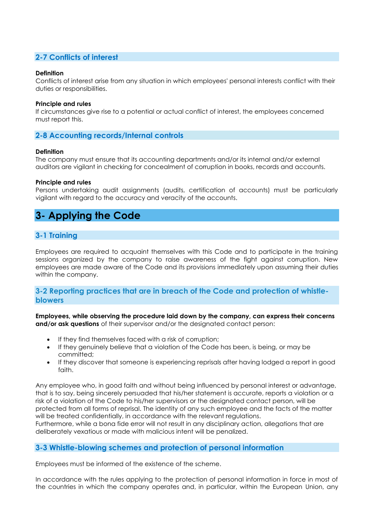#### **2-7 Conflicts of interest**

#### **Definition**

Conflicts of interest arise from any situation in which employees' personal interests conflict with their duties or responsibilities.

#### **Principle and rules**

If circumstances give rise to a potential or actual conflict of interest, the employees concerned must report this.

#### **2-8 Accounting records/Internal controls**

#### **Definition**

The company must ensure that its accounting departments and/or its internal and/or external auditors are vigilant in checking for concealment of corruption in books, records and accounts.

#### **Principle and rules**

Persons undertaking audit assignments (audits, certification of accounts) must be particularly vigilant with regard to the accuracy and veracity of the accounts.

### **3- Applying the Code**

#### **3-1 Training**

Employees are required to acquaint themselves with this Code and to participate in the training sessions organized by the company to raise awareness of the fight against corruption. New employees are made aware of the Code and its provisions immediately upon assuming their duties within the company.

#### **3-2 Reporting practices that are in breach of the Code and protection of whistleblowers**

**Employees, while observing the procedure laid down by the company, can express their concerns and/or ask questions** of their supervisor and/or the designated contact person:

- If they find themselves faced with a risk of corruption;
- If they genuinely believe that a violation of the Code has been, is being, or may be committed;
- If they discover that someone is experiencing reprisals after having lodged a report in good faith.

Any employee who, in good faith and without being influenced by personal interest or advantage, that is to say, being sincerely persuaded that his/her statement is accurate, reports a violation or a risk of a violation of the Code to his/her supervisors or the designated contact person, will be protected from all forms of reprisal. The identity of any such employee and the facts of the matter will be treated confidentially, in accordance with the relevant regulations.

Furthermore, while a bona fide error will not result in any disciplinary action, allegations that are deliberately vexatious or made with malicious intent will be penalized.

#### **3-3 Whistle-blowing schemes and protection of personal information**

Employees must be informed of the existence of the scheme.

In accordance with the rules applying to the protection of personal information in force in most of the countries in which the company operates and, in particular, within the European Union, any